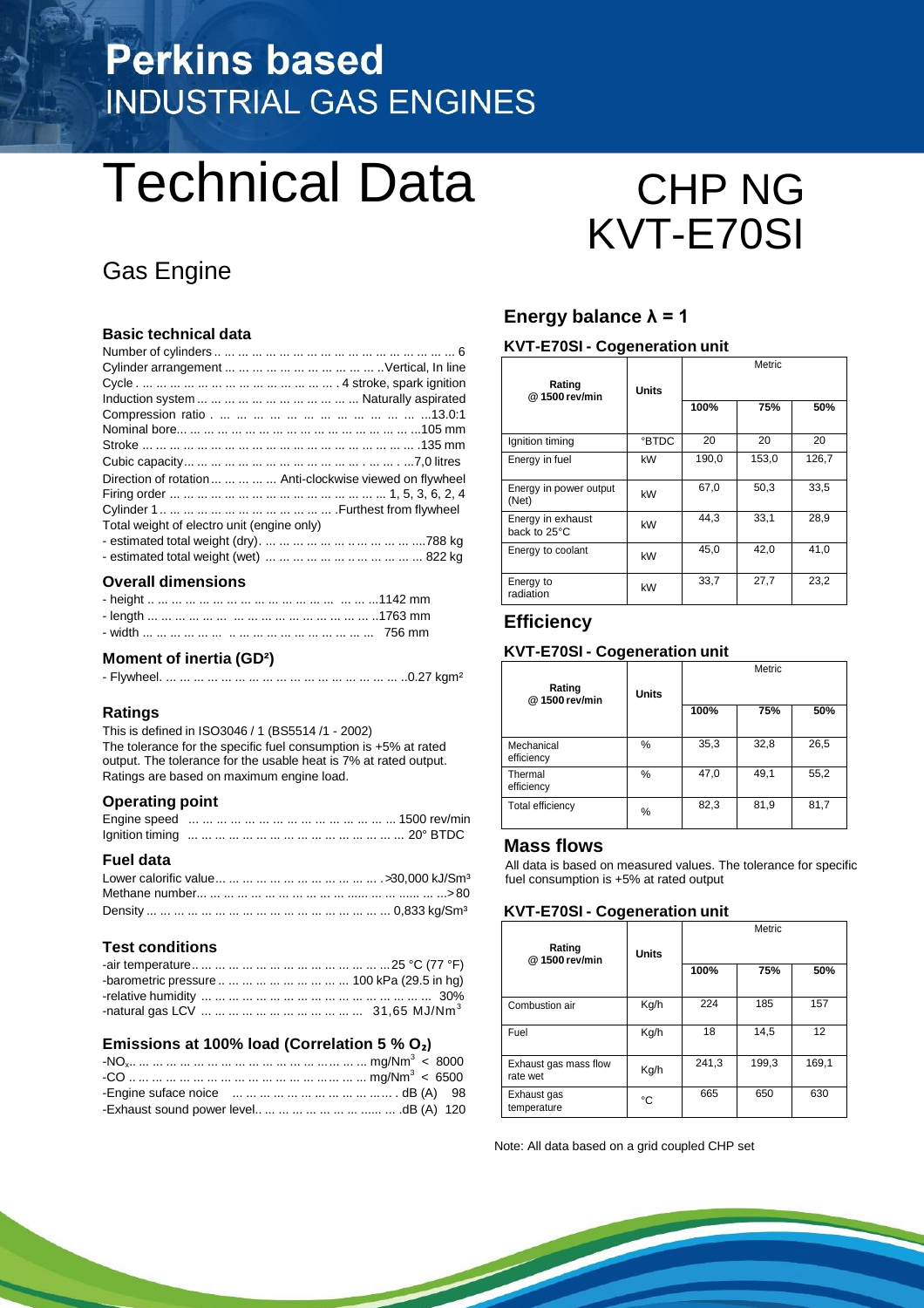# **Perkins based INDUSTRIAL GAS ENGINES**

# Technical Data CHP NG

## Gas Engine

#### **Basic technical data**

| Direction of rotation      Anti-clockwise viewed on flywheel |  |
|--------------------------------------------------------------|--|
|                                                              |  |
|                                                              |  |
| Total weight of electro unit (engine only)                   |  |
|                                                              |  |
|                                                              |  |

#### **Overall dimensions**

#### **Moment of inertia (GD²)**

|--|--|--|--|

#### **Ratings**

This is defined in ISO3046 / 1 (BS5514 /1 - 2002) The tolerance for the specific fuel consumption is +5% at rated output. The tolerance for the usable heat is 7% at rated output. Ratings are based on maximum engine load.

#### **Operating point**

#### **Fuel data**

#### **Test conditions**

| -barometric pressure          100 kPa (29.5 in hg) |  |
|----------------------------------------------------|--|
|                                                    |  |
|                                                    |  |

#### **Emissions at 100% load (Correlation 5 % O₂)**

# KVT-E70SI

#### Energy balance  $\lambda = 1$

#### **KVT-E70SI - Cogeneration unit**

| Rating<br>@1500 rev/min           | <b>Units</b> | Metric |       |       |
|-----------------------------------|--------------|--------|-------|-------|
|                                   |              | 100%   | 75%   | 50%   |
| Ignition timing                   | <b>BTDC</b>  | 20     | 20    | 20    |
| Energy in fuel                    | kW           | 190,0  | 153,0 | 126,7 |
| Energy in power output<br>(Net)   | kW           | 67,0   | 50,3  | 33,5  |
| Energy in exhaust<br>back to 25°C | kW           | 44,3   | 33,1  | 28,9  |
| Energy to coolant                 | kW           | 45,0   | 42,0  | 41,0  |
| Energy to<br>radiation            | kW           | 33,7   | 27,7  | 23,2  |

#### **Efficiency**

#### **KVT-E70SI - Cogeneration unit**

| Rating<br>@1500 rev/min  | <b>Units</b> | Metric |      |      |
|--------------------------|--------------|--------|------|------|
|                          |              | 100%   | 75%  | 50%  |
| Mechanical<br>efficiency | %            | 35,3   | 32,8 | 26,5 |
| Thermal<br>efficiency    | %            | 47,0   | 49,1 | 55,2 |
| <b>Total efficiency</b>  | %            | 82,3   | 81,9 | 81,7 |

#### **Mass flows**

All data is based on measured values. The tolerance for specific fuel consumption is +5% at rated output

#### **KVT-E70SI - Cogeneration unit**

| Rating<br>@ 1500 rev/min          | <b>Units</b> | Metric |       |       |
|-----------------------------------|--------------|--------|-------|-------|
|                                   |              | 100%   | 75%   | 50%   |
| Combustion air                    | Kg/h         | 224    | 185   | 157   |
| Fuel                              | Kg/h         | 18     | 14.5  | 12    |
| Exhaust gas mass flow<br>rate wet | Kg/h         | 241,3  | 199,3 | 169,1 |
| Exhaust gas<br>temperature        | °C           | 665    | 650   | 630   |

Note: All data based on a grid coupled CHP set